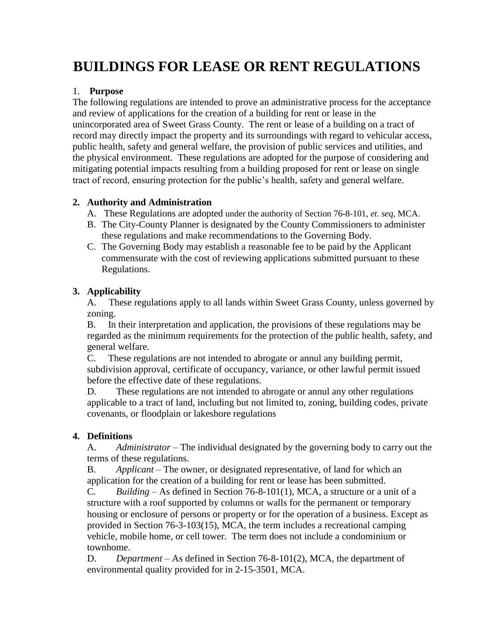# **BUILDINGS FOR LEASE OR RENT REGULATIONS**

# 1. **Purpose**

The following regulations are intended to prove an administrative process for the acceptance and review of applications for the creation of a building for rent or lease in the unincorporated area of Sweet Grass County. The rent or lease of a building on a tract of record may directly impact the property and its surroundings with regard to vehicular access, public health, safety and general welfare, the provision of public services and utilities, and the physical environment. These regulations are adopted for the purpose of considering and mitigating potential impacts resulting from a building proposed for rent or lease on single tract of record, ensuring protection for the public's health, safety and general welfare.

### **2. Authority and Administration**

- A. These Regulations are adopted under the authority of Section 76-8-101, *et. seq*, MCA.
- B. The City-County Planner is designated by the County Commissioners to administer these regulations and make recommendations to the Governing Body.
- C. The Governing Body may establish a reasonable fee to be paid by the Applicant commensurate with the cost of reviewing applications submitted pursuant to these Regulations.

# **3. Applicability**

A. These regulations apply to all lands within Sweet Grass County, unless governed by zoning.

B. In their interpretation and application, the provisions of these regulations may be regarded as the minimum requirements for the protection of the public health, safety, and general welfare.

C. These regulations are not intended to abrogate or annul any building permit, subdivision approval, certificate of occupancy, variance, or other lawful permit issued before the effective date of these regulations.

D. These regulations are not intended to abrogate or annul any other regulations applicable to a tract of land, including but not limited to, zoning, building codes, private covenants, or floodplain or lakeshore regulations

### **4. Definitions**

A. *Administrator* – The individual designated by the governing body to carry out the terms of these regulations.

B. *Applicant* – The owner, or designated representative, of land for which an application for the creation of a building for rent or lease has been submitted.

C. *Building* – As defined in Section 76-8-101(1), MCA, a structure or a unit of a structure with a roof supported by columns or walls for the permanent or temporary housing or enclosure of persons or property or for the operation of a business. Except as provided in Section 76-3-103(15), MCA, the term includes a recreational camping vehicle, mobile home, or cell tower. The term does not include a condominium or townhome.

D. *Department* – As defined in Section 76-8-101(2), MCA, the department of environmental quality provided for in 2-15-3501, MCA.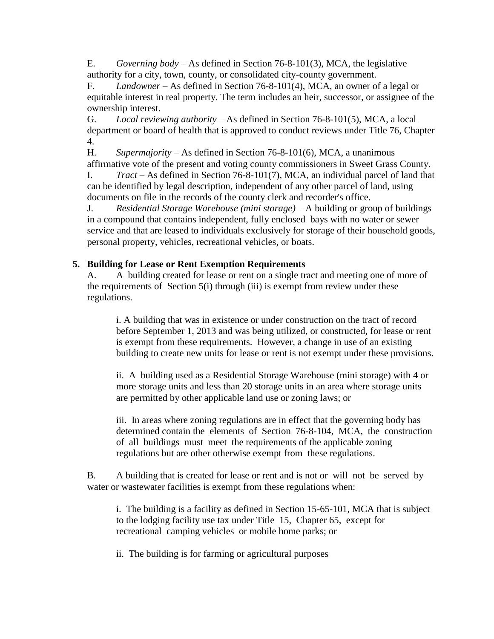E. *Governing body* – As defined in Section 76-8-101(3), MCA, the legislative authority for a city, town, county, or consolidated city-county government.

F. *Landowner* – As defined in Section 76-8-101(4), MCA, an owner of a legal or equitable interest in real property. The term includes an heir, successor, or assignee of the ownership interest.

G. *Local reviewing authority* – As defined in Section 76-8-101(5), MCA, a local department or board of health that is approved to conduct reviews under Title 76, Chapter 4.

H. *Supermajority –* As defined in Section 76-8-101(6), MCA, a unanimous affirmative vote of the present and voting county commissioners in Sweet Grass County.

I. *Tract –* As defined in Section 76-8-101(7), MCA, an individual parcel of land that can be identified by legal description, independent of any other parcel of land, using documents on file in the records of the county clerk and recorder's office.

J. *Residential Storage Warehouse (mini storage) –* A building or group of buildings in a compound that contains independent, fully enclosed bays with no water or sewer service and that are leased to individuals exclusively for storage of their household goods, personal property, vehicles, recreational vehicles, or boats.

# **5. Building for Lease or Rent Exemption Requirements**

A. A building created for lease or rent on a single tract and meeting one of more of the requirements of Section 5(i) through (iii) is exempt from review under these regulations.

i. A building that was in existence or under construction on the tract of record before September 1, 2013 and was being utilized, or constructed, for lease or rent is exempt from these requirements. However, a change in use of an existing building to create new units for lease or rent is not exempt under these provisions.

ii. A building used as a Residential Storage Warehouse (mini storage) with 4 or more storage units and less than 20 storage units in an area where storage units are permitted by other applicable land use or zoning laws; or

iii. In areas where zoning regulations are in effect that the governing body has determined contain the elements of Section 76-8-104, MCA, the construction of all buildings must meet the requirements of the applicable zoning regulations but are other otherwise exempt from these regulations.

B. A building that is created for lease or rent and is not or will not be served by water or wastewater facilities is exempt from these regulations when:

i. The building is a facility as defined in Section 15-65-101, MCA that is subject to the lodging facility use tax under Title 15, Chapter 65, except for recreational camping vehicles or mobile home parks; or

ii. The building is for farming or agricultural purposes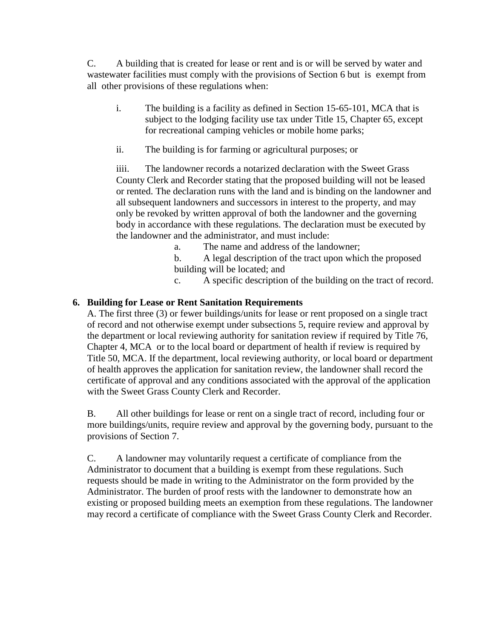C. A building that is created for lease or rent and is or will be served by water and wastewater facilities must comply with the provisions of Section 6 but is exempt from all other provisions of these regulations when:

- i. The building is a facility as defined in Section 15-65-101, MCA that is subject to the lodging facility use tax under Title 15, Chapter 65, except for recreational camping vehicles or mobile home parks;
- ii. The building is for farming or agricultural purposes; or

iiii. The landowner records a notarized declaration with the Sweet Grass County Clerk and Recorder stating that the proposed building will not be leased or rented. The declaration runs with the land and is binding on the landowner and all subsequent landowners and successors in interest to the property, and may only be revoked by written approval of both the landowner and the governing body in accordance with these regulations. The declaration must be executed by the landowner and the administrator, and must include:

a. The name and address of the landowner;

b. A legal description of the tract upon which the proposed building will be located; and

c. A specific description of the building on the tract of record.

# **6. Building for Lease or Rent Sanitation Requirements**

A. The first three (3) or fewer buildings/units for lease or rent proposed on a single tract of record and not otherwise exempt under subsections 5, require review and approval by the department or local reviewing authority for sanitation review if required by Title 76, Chapter 4, MCA or to the local board or department of health if review is required by Title 50, MCA. If the department, local reviewing authority, or local board or department of health approves the application for sanitation review, the landowner shall record the certificate of approval and any conditions associated with the approval of the application with the Sweet Grass County Clerk and Recorder.

B. All other buildings for lease or rent on a single tract of record, including four or more buildings/units, require review and approval by the governing body, pursuant to the provisions of Section 7.

C. A landowner may voluntarily request a certificate of compliance from the Administrator to document that a building is exempt from these regulations. Such requests should be made in writing to the Administrator on the form provided by the Administrator. The burden of proof rests with the landowner to demonstrate how an existing or proposed building meets an exemption from these regulations. The landowner may record a certificate of compliance with the Sweet Grass County Clerk and Recorder.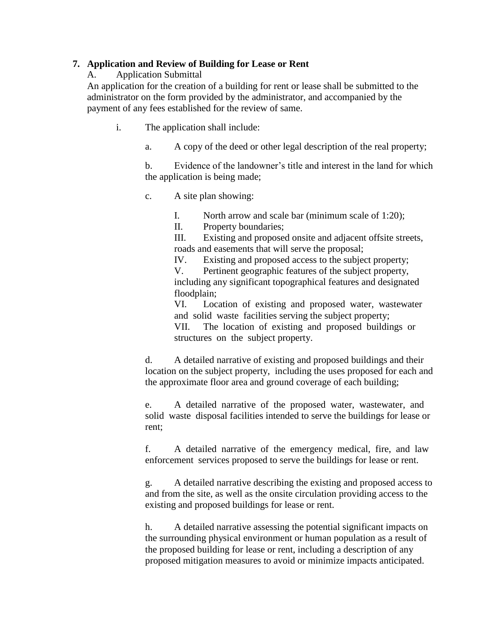#### **7. Application and Review of Building for Lease or Rent**

A. Application Submittal

An application for the creation of a building for rent or lease shall be submitted to the administrator on the form provided by the administrator, and accompanied by the payment of any fees established for the review of same.

- i. The application shall include:
	- a. A copy of the deed or other legal description of the real property;

b. Evidence of the landowner's title and interest in the land for which the application is being made;

c. A site plan showing:

I. North arrow and scale bar (minimum scale of 1:20);

II. Property boundaries;

III. Existing and proposed onsite and adjacent offsite streets, roads and easements that will serve the proposal;

IV. Existing and proposed access to the subject property;

V. Pertinent geographic features of the subject property, including any significant topographical features and designated floodplain;

VI. Location of existing and proposed water, wastewater and solid waste facilities serving the subject property;

VII. The location of existing and proposed buildings or structures on the subject property.

d. A detailed narrative of existing and proposed buildings and their location on the subject property, including the uses proposed for each and the approximate floor area and ground coverage of each building;

e. A detailed narrative of the proposed water, wastewater, and solid waste disposal facilities intended to serve the buildings for lease or rent;

f. A detailed narrative of the emergency medical, fire, and law enforcement services proposed to serve the buildings for lease or rent.

g. A detailed narrative describing the existing and proposed access to and from the site, as well as the onsite circulation providing access to the existing and proposed buildings for lease or rent.

h. A detailed narrative assessing the potential significant impacts on the surrounding physical environment or human population as a result of the proposed building for lease or rent, including a description of any proposed mitigation measures to avoid or minimize impacts anticipated.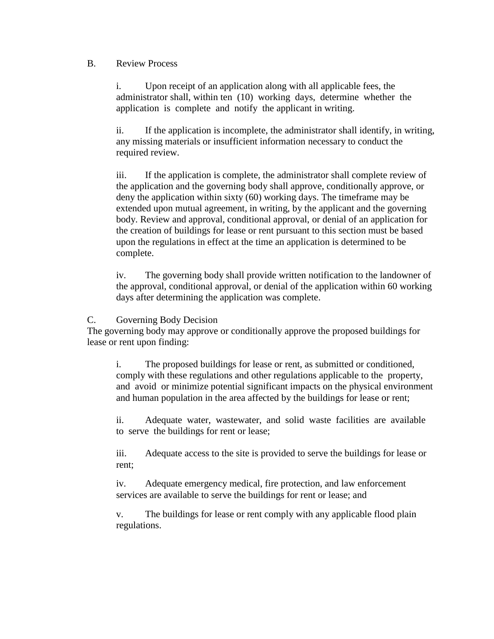#### B. Review Process

i. Upon receipt of an application along with all applicable fees, the administrator shall, within ten (10) working days, determine whether the application is complete and notify the applicant in writing.

ii. If the application is incomplete, the administrator shall identify, in writing, any missing materials or insufficient information necessary to conduct the required review.

iii. If the application is complete, the administrator shall complete review of the application and the governing body shall approve, conditionally approve, or deny the application within sixty (60) working days. The timeframe may be extended upon mutual agreement, in writing, by the applicant and the governing body. Review and approval, conditional approval, or denial of an application for the creation of buildings for lease or rent pursuant to this section must be based upon the regulations in effect at the time an application is determined to be complete.

iv. The governing body shall provide written notification to the landowner of the approval, conditional approval, or denial of the application within 60 working days after determining the application was complete.

### C. Governing Body Decision

The governing body may approve or conditionally approve the proposed buildings for lease or rent upon finding:

i. The proposed buildings for lease or rent, as submitted or conditioned, comply with these regulations and other regulations applicable to the property, and avoid or minimize potential significant impacts on the physical environment and human population in the area affected by the buildings for lease or rent;

ii. Adequate water, wastewater, and solid waste facilities are available to serve the buildings for rent or lease;

iii. Adequate access to the site is provided to serve the buildings for lease or rent;

iv. Adequate emergency medical, fire protection, and law enforcement services are available to serve the buildings for rent or lease; and

v. The buildings for lease or rent comply with any applicable flood plain regulations.